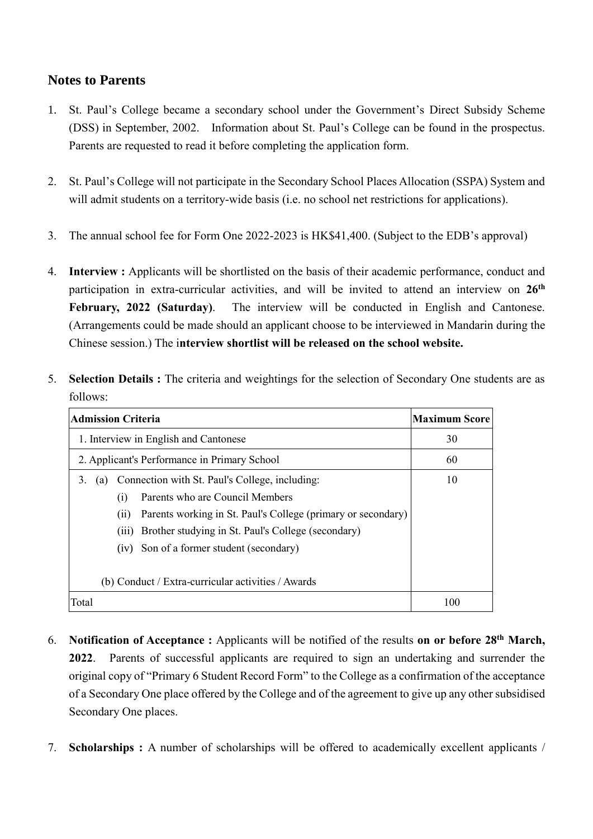## **Notes to Parents**

- 1. St. Paul's College became a secondary school under the Government's Direct Subsidy Scheme (DSS) in September, 2002. Information about St. Paul's College can be found in the prospectus. Parents are requested to read it before completing the application form.
- 2. St. Paul's College will not participate in the Secondary School Places Allocation (SSPA) System and will admit students on a territory-wide basis (i.e. no school net restrictions for applications).
- 3. The annual school fee for Form One 2022-2023 is HK\$41,400. (Subject to the EDB's approval)
- 4. **Interview :** Applicants will be shortlisted on the basis of their academic performance, conduct and participation in extra-curricular activities, and will be invited to attend an interview on **26 th February, 2022 (Saturday)**. The interview will be conducted in English and Cantonese. (Arrangements could be made should an applicant choose to be interviewed in Mandarin during the Chinese session.) The i**nterview shortlist will be released on the school website.**
- 5. **Selection Details :** The criteria and weightings for the selection of Secondary One students are as follows:

| <b>Admission Criteria</b>                                            | <b>Maximum Score</b> |
|----------------------------------------------------------------------|----------------------|
| 1. Interview in English and Cantonese                                | 30                   |
| 2. Applicant's Performance in Primary School                         | 60                   |
| Connection with St. Paul's College, including:<br>3.<br>(a)          | 10                   |
| Parents who are Council Members<br>(1)                               |                      |
| Parents working in St. Paul's College (primary or secondary)<br>(11) |                      |
| (iii) Brother studying in St. Paul's College (secondary)             |                      |
| (iv) Son of a former student (secondary)                             |                      |
| (b) Conduct / Extra-curricular activities / Awards                   |                      |
| Total                                                                | l ()()               |

- 6. **Notification of Acceptance :** Applicants will be notified of the results **on or before 28th March, 2022**. Parents of successful applicants are required to sign an undertaking and surrender the original copy of "Primary 6 Student Record Form" to the College as a confirmation of the acceptance of a Secondary One place offered by the College and of the agreement to give up any other subsidised Secondary One places.
- 7. **Scholarships :** A number of scholarships will be offered to academically excellent applicants /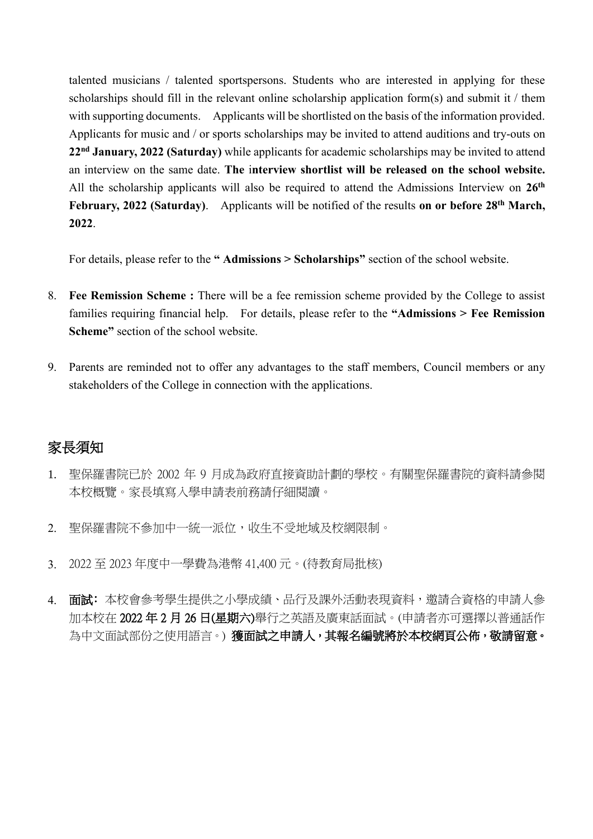talented musicians / talented sportspersons. Students who are interested in applying for these scholarships should fill in the relevant online scholarship application form(s) and submit it / them with supporting documents. Applicants will be shortlisted on the basis of the information provided. Applicants for music and / or sports scholarships may be invited to attend auditions and try-outs on **22nd January, 2022 (Saturday)** while applicants for academic scholarships may be invited to attend an interview on the same date. **The** i**nterview shortlist will be released on the school website.** All the scholarship applicants will also be required to attend the Admissions Interview on **26 th February, 2022 (Saturday)**. Applicants will be notified of the results **on or before 28th March, 2022**.

For details, please refer to the **" Admissions > Scholarships"** section of the school website.

- 8. **Fee Remission Scheme :** There will be a fee remission scheme provided by the College to assist families requiring financial help. For details, please refer to the **"Admissions > Fee Remission Scheme"** section of the school website.
- 9. Parents are reminded not to offer any advantages to the staff members, Council members or any stakeholders of the College in connection with the applications.

## 家長須知

- 1. 聖保羅書院已於 2002 年 9 月成為政府直接資助計劃的學校。有關聖保羅書院的資料請參閱 本校概覽。家長填寫入學申請表前務請仔細閱讀。
- 2. 聖保羅書院不參加中一統一派位,收生不受地域及校網限制。
- 3. 2022 至 2023 年度中一學費為港幣 41,400 元。(待教育局批核)
- 4. 面試:本校會參考學生提供之小學成績、品行及課外活動表現資料,邀請合資格的申請人參 加本校在 2022年2月 26日(星期六)舉行之英語及廣東話面試。(申請者亦可選擇以普通話作 為中文面試部份之使用語言。) 獲面試之申請人,其報名編號將於本校網頁公佈,敬請留意。